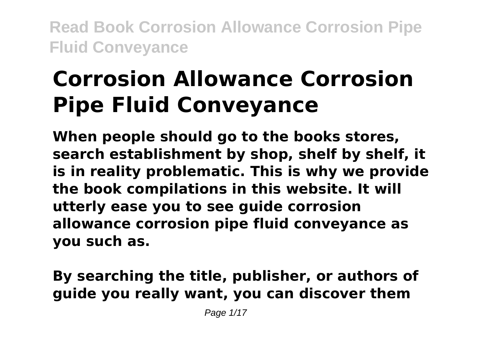# **Corrosion Allowance Corrosion Pipe Fluid Conveyance**

**When people should go to the books stores, search establishment by shop, shelf by shelf, it is in reality problematic. This is why we provide the book compilations in this website. It will utterly ease you to see guide corrosion allowance corrosion pipe fluid conveyance as you such as.**

## **By searching the title, publisher, or authors of guide you really want, you can discover them**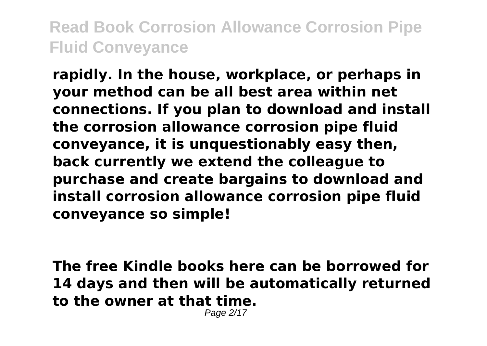**rapidly. In the house, workplace, or perhaps in your method can be all best area within net connections. If you plan to download and install the corrosion allowance corrosion pipe fluid conveyance, it is unquestionably easy then, back currently we extend the colleague to purchase and create bargains to download and install corrosion allowance corrosion pipe fluid conveyance so simple!**

**The free Kindle books here can be borrowed for 14 days and then will be automatically returned to the owner at that time.**

Page 2/17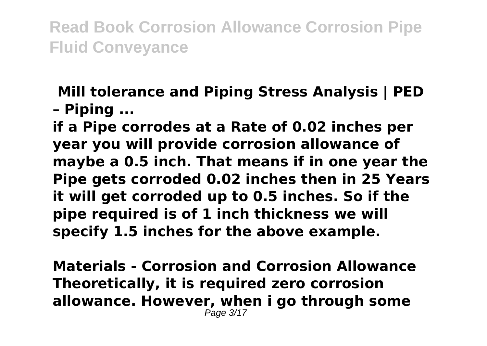#### **Mill tolerance and Piping Stress Analysis | PED – Piping ...**

**if a Pipe corrodes at a Rate of 0.02 inches per year you will provide corrosion allowance of maybe a 0.5 inch. That means if in one year the Pipe gets corroded 0.02 inches then in 25 Years it will get corroded up to 0.5 inches. So if the pipe required is of 1 inch thickness we will specify 1.5 inches for the above example.**

**Materials - Corrosion and Corrosion Allowance Theoretically, it is required zero corrosion allowance. However, when i go through some** Page 3/17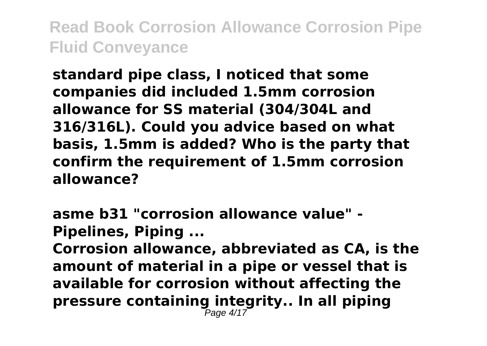**standard pipe class, I noticed that some companies did included 1.5mm corrosion allowance for SS material (304/304L and 316/316L). Could you advice based on what basis, 1.5mm is added? Who is the party that confirm the requirement of 1.5mm corrosion allowance?**

**asme b31 "corrosion allowance value" - Pipelines, Piping ...**

**Corrosion allowance, abbreviated as CA, is the amount of material in a pipe or vessel that is available for corrosion without affecting the pressure containing integrity.. In all piping** Page 4/17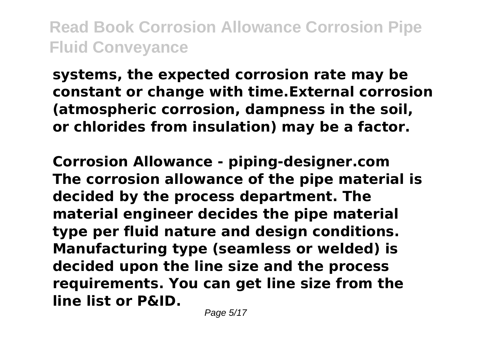**systems, the expected corrosion rate may be constant or change with time.External corrosion (atmospheric corrosion, dampness in the soil, or chlorides from insulation) may be a factor.**

**Corrosion Allowance - piping-designer.com The corrosion allowance of the pipe material is decided by the process department. The material engineer decides the pipe material type per fluid nature and design conditions. Manufacturing type (seamless or welded) is decided upon the line size and the process requirements. You can get line size from the line list or P&ID.**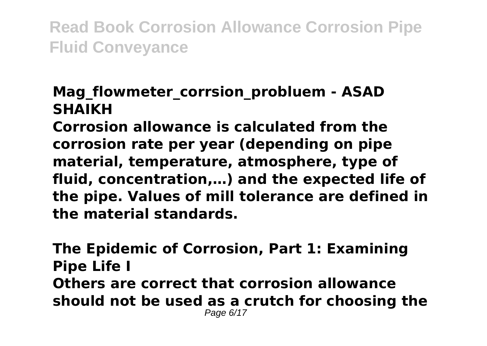#### Mag flowmeter corrsion probluem - ASAD **SHAIKH**

**Corrosion allowance is calculated from the corrosion rate per year (depending on pipe material, temperature, atmosphere, type of fluid, concentration,…) and the expected life of the pipe. Values of mill tolerance are defined in the material standards.**

**The Epidemic of Corrosion, Part 1: Examining Pipe Life I Others are correct that corrosion allowance should not be used as a crutch for choosing the** Page 6/17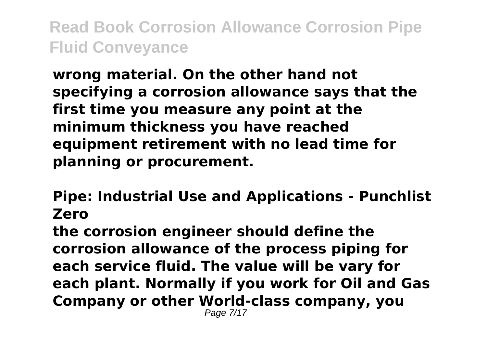**wrong material. On the other hand not specifying a corrosion allowance says that the first time you measure any point at the minimum thickness you have reached equipment retirement with no lead time for planning or procurement.**

**Pipe: Industrial Use and Applications - Punchlist Zero**

**the corrosion engineer should define the corrosion allowance of the process piping for each service fluid. The value will be vary for each plant. Normally if you work for Oil and Gas Company or other World-class company, you** Page 7/17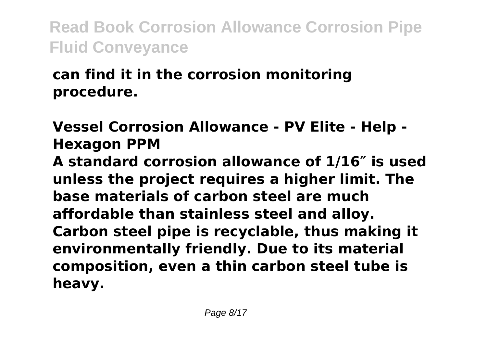## **can find it in the corrosion monitoring procedure.**

**Vessel Corrosion Allowance - PV Elite - Help - Hexagon PPM**

**A standard corrosion allowance of 1/16″ is used unless the project requires a higher limit. The base materials of carbon steel are much affordable than stainless steel and alloy. Carbon steel pipe is recyclable, thus making it environmentally friendly. Due to its material composition, even a thin carbon steel tube is heavy.**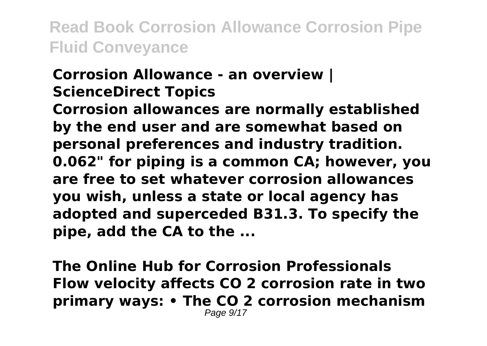#### **Corrosion Allowance - an overview | ScienceDirect Topics**

**Corrosion allowances are normally established by the end user and are somewhat based on personal preferences and industry tradition. 0.062" for piping is a common CA; however, you are free to set whatever corrosion allowances you wish, unless a state or local agency has adopted and superceded B31.3. To specify the pipe, add the CA to the ...**

**The Online Hub for Corrosion Professionals Flow velocity affects CO 2 corrosion rate in two primary ways: • The CO 2 corrosion mechanism** Page  $9/17$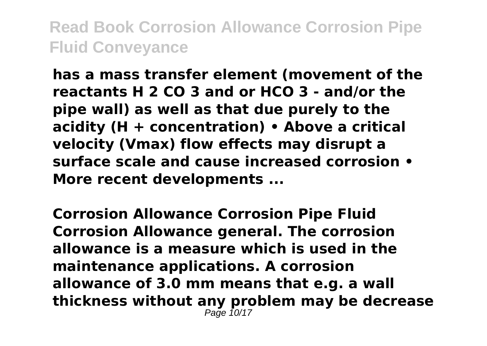**has a mass transfer element (movement of the reactants H 2 CO 3 and or HCO 3 - and/or the pipe wall) as well as that due purely to the acidity (H + concentration) • Above a critical velocity (Vmax) flow effects may disrupt a surface scale and cause increased corrosion • More recent developments ...**

**Corrosion Allowance Corrosion Pipe Fluid Corrosion Allowance general. The corrosion allowance is a measure which is used in the maintenance applications. A corrosion allowance of 3.0 mm means that e.g. a wall thickness without any problem may be decrease** Page 10/17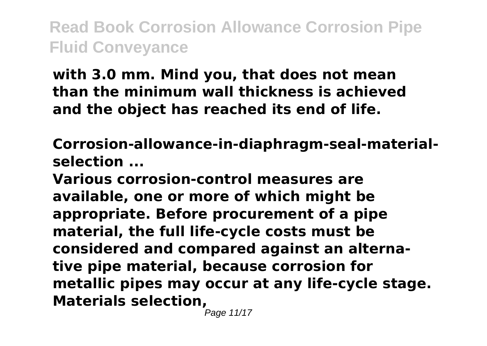**with 3.0 mm. Mind you, that does not mean than the minimum wall thickness is achieved and the object has reached its end of life.**

**Corrosion-allowance-in-diaphragm-seal-materialselection ...**

**Various corrosion-control measures are available, one or more of which might be appropriate. Before procurement of a pipe material, the full life-cycle costs must be considered and compared against an alternative pipe material, because corrosion for metallic pipes may occur at any life-cycle stage. Materials selection,**

Page 11/17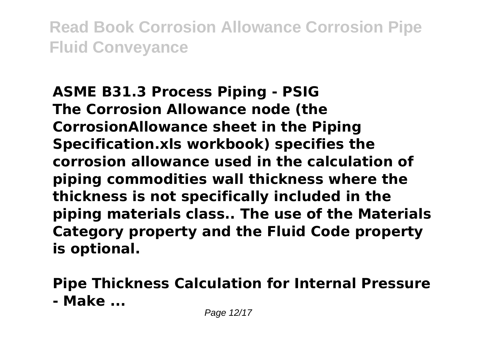**ASME B31.3 Process Piping - PSIG The Corrosion Allowance node (the CorrosionAllowance sheet in the Piping Specification.xls workbook) specifies the corrosion allowance used in the calculation of piping commodities wall thickness where the thickness is not specifically included in the piping materials class.. The use of the Materials Category property and the Fluid Code property is optional.**

**Pipe Thickness Calculation for Internal Pressure - Make ...**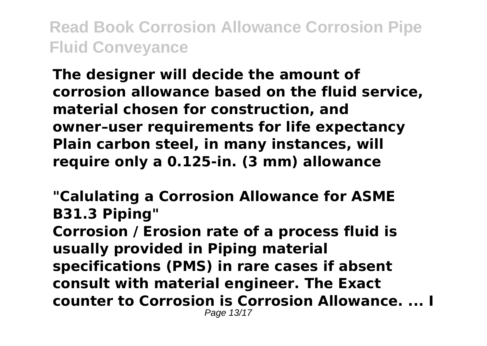**The designer will decide the amount of corrosion allowance based on the fluid service, material chosen for construction, and owner–user requirements for life expectancy Plain carbon steel, in many instances, will require only a 0.125-in. (3 mm) allowance**

**"Calulating a Corrosion Allowance for ASME B31.3 Piping" Corrosion / Erosion rate of a process fluid is usually provided in Piping material specifications (PMS) in rare cases if absent consult with material engineer. The Exact counter to Corrosion is Corrosion Allowance. ... I** Page 13/17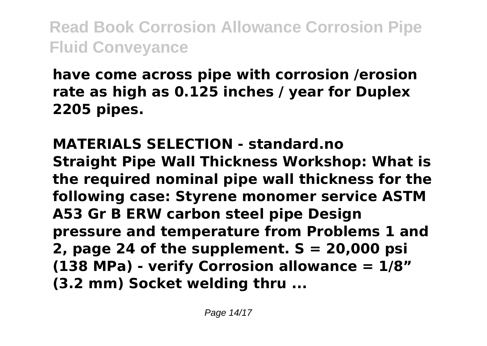**have come across pipe with corrosion /erosion rate as high as 0.125 inches / year for Duplex 2205 pipes.**

**MATERIALS SELECTION - standard.no Straight Pipe Wall Thickness Workshop: What is the required nominal pipe wall thickness for the following case: Styrene monomer service ASTM A53 Gr B ERW carbon steel pipe Design pressure and temperature from Problems 1 and 2, page 24 of the supplement. S = 20,000 psi (138 MPa) - verify Corrosion allowance = 1/8" (3.2 mm) Socket welding thru ...**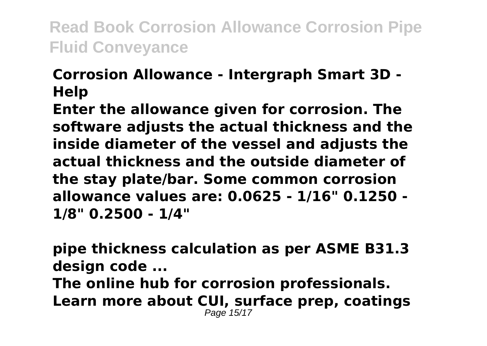### **Corrosion Allowance - Intergraph Smart 3D - Help**

**Enter the allowance given for corrosion. The software adjusts the actual thickness and the inside diameter of the vessel and adjusts the actual thickness and the outside diameter of the stay plate/bar. Some common corrosion allowance values are: 0.0625 - 1/16" 0.1250 - 1/8" 0.2500 - 1/4"**

**pipe thickness calculation as per ASME B31.3 design code ... The online hub for corrosion professionals. Learn more about CUI, surface prep, coatings** Page 15/17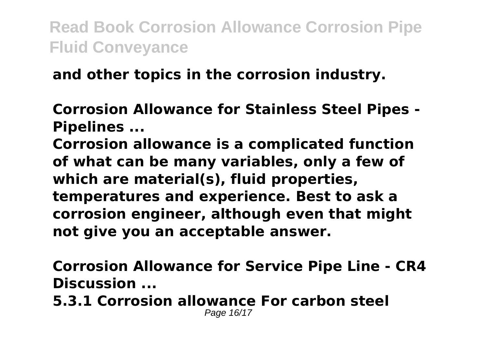#### **and other topics in the corrosion industry.**

**Corrosion Allowance for Stainless Steel Pipes - Pipelines ...**

**Corrosion allowance is a complicated function of what can be many variables, only a few of which are material(s), fluid properties, temperatures and experience. Best to ask a corrosion engineer, although even that might not give you an acceptable answer.**

**Corrosion Allowance for Service Pipe Line - CR4 Discussion ...**

**5.3.1 Corrosion allowance For carbon steel** Page 16/17